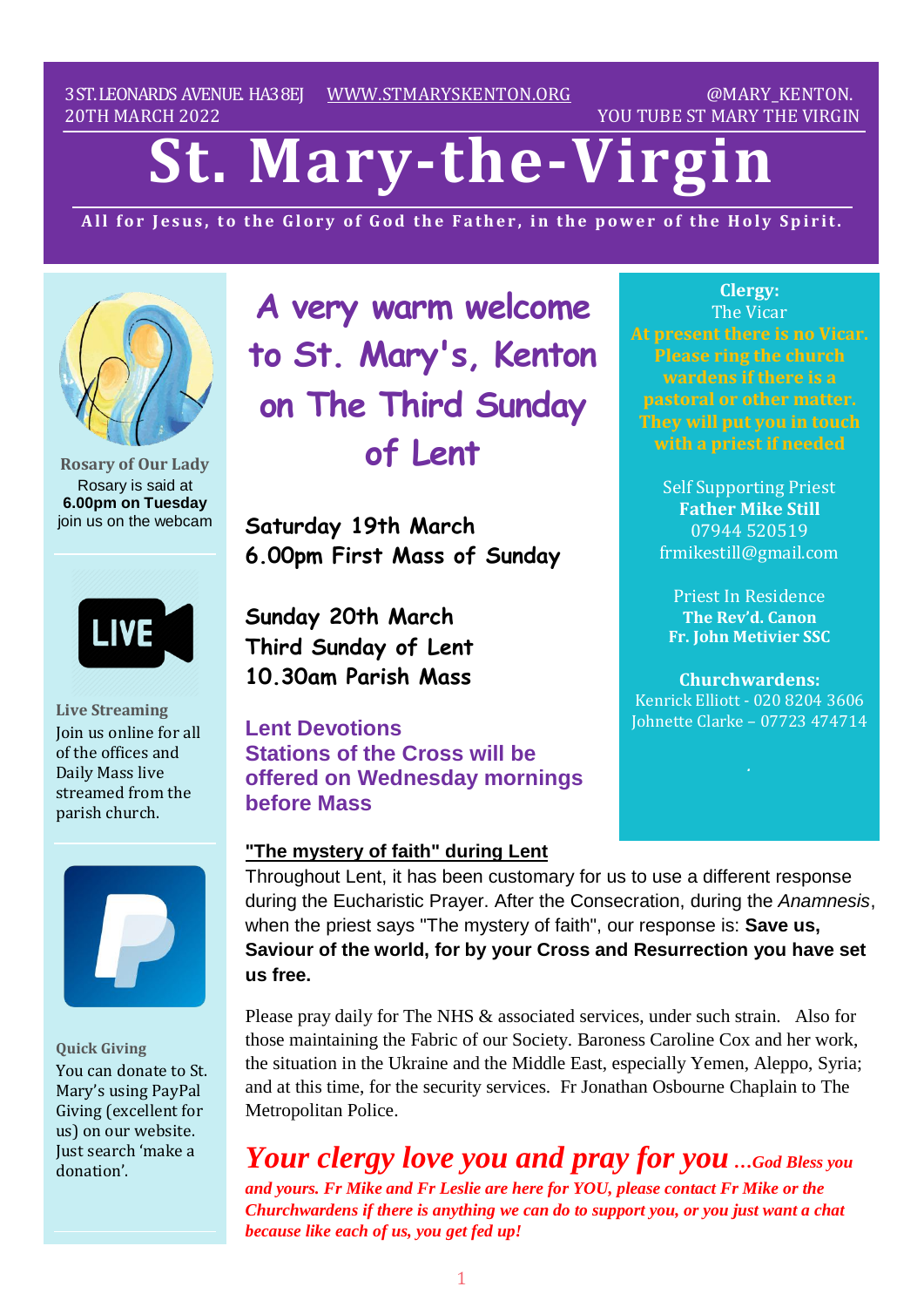3ST.LEONARDS AVENUE. HA38EJ [WWW.STMARYSKENTON.ORG](http://www.stmaryskenton.org/) @MARY\_KENTON. 20TH MARCH 2022 YOU TUBE ST MARY THE VIRGIN

# **St. Mary-the-Virgi**

All for Jesus, to the Glory of God the Father, in the power of the Holy Spirit.



**Rosary of Our Lady** Rosary is said at **6.00pm on Tuesday** join us on the webcam

**LIVE** 

**Live Streaming** Join us online for all of the offices and Daily Mass live streamed from the parish church.



**Quick Giving** You can donate to St. Mary's using PayPal Giving (excellent for us) on our website. Just search 'make a donation'.

**A very warm welcome to St. Mary's, Kenton on The Third Sunday of Lent**

**Saturday 19th March 6.00pm First Mass of Sunday**

**Sunday 20th March Third Sunday of Lent 10.30am Parish Mass**

**Lent Devotions Stations of the Cross will be offered on Wednesday mornings before Mass**

#### **"The mystery of faith" during Lent**

**Clergy:** The Vicar **At present there is no Vicar. Please ring the church wardens if there is a pastoral or other matter. They will put you in touch**

> Self Supporting Priest **Father Mike Still** 07944 520519 frmikestill@gmail.com

Priest In Residence **The Rev'd. Canon Fr. John Metivier SSC**

**Churchwardens:** Kenrick Elliott - 020 8204 3606 Johnette Clarke – 07723 474714

Throughout Lent, it has been customary for us to use a different response during the Eucharistic Prayer. After the Consecration, during the *Anamnesis*, when the priest says "The mystery of faith", our response is: **Save us, Saviour of the world, for by your Cross and Resurrection you have set us free.** 

Please pray daily for The NHS & associated services, under such strain. Also for those maintaining the Fabric of our Society. Baroness Caroline Cox and her work, the situation in the Ukraine and the Middle East, especially Yemen, Aleppo, Syria; and at this time, for the security services. Fr Jonathan Osbourne Chaplain to The Metropolitan Police.

*Your clergy love you and pray for you …God Bless you and yours. Fr Mike and Fr Leslie are here for YOU, please contact Fr Mike or the Churchwardens if there is anything we can do to support you, or you just want a chat because like each of us, you get fed up!*